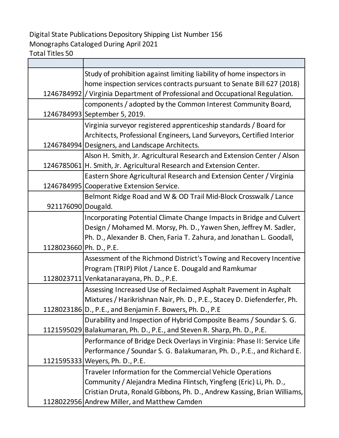## Digital State Publications Depository Shipping List Number 156 Monographs Cataloged During April 2021

Total Titles 50

|                         | Study of prohibition against limiting liability of home inspectors in           |
|-------------------------|---------------------------------------------------------------------------------|
|                         | home inspection services contracts pursuant to Senate Bill 627 (2018)           |
|                         | 1246784992   / Virginia Department of Professional and Occupational Regulation. |
|                         | components / adopted by the Common Interest Community Board,                    |
|                         | 1246784993 September 5, 2019.                                                   |
|                         | Virginia surveyor registered apprenticeship standards / Board for               |
|                         | Architects, Professional Engineers, Land Surveyors, Certified Interior          |
|                         | 1246784994 Designers, and Landscape Architects.                                 |
|                         | Alson H. Smith, Jr. Agricultural Research and Extension Center / Alson          |
|                         | 1246785061   H. Smith, Jr. Agricultural Research and Extension Center.          |
|                         | Eastern Shore Agricultural Research and Extension Center / Virginia             |
| 1246784995              | Cooperative Extension Service.                                                  |
|                         | Belmont Ridge Road and W & OD Trail Mid-Block Crosswalk / Lance                 |
| 921176090 Dougald.      |                                                                                 |
|                         | Incorporating Potential Climate Change Impacts in Bridge and Culvert            |
|                         | Design / Mohamed M. Morsy, Ph. D., Yawen Shen, Jeffrey M. Sadler,               |
|                         | Ph. D., Alexander B. Chen, Faria T. Zahura, and Jonathan L. Goodall,            |
| 1128023660 Ph. D., P.E. |                                                                                 |
|                         | Assessment of the Richmond District's Towing and Recovery Incentive             |
|                         | Program (TRIP) Pilot / Lance E. Dougald and Ramkumar                            |
|                         | 1128023711 Venkatanarayana, Ph. D., P.E.                                        |
|                         | Assessing Increased Use of Reclaimed Asphalt Pavement in Asphalt                |
|                         | Mixtures / Harikrishnan Nair, Ph. D., P.E., Stacey D. Diefenderfer, Ph.         |
|                         | 1128023186 D., P.E., and Benjamin F. Bowers, Ph. D., P.E                        |
|                         | Durability and Inspection of Hybrid Composite Beams / Soundar S. G.             |
|                         | 1121595029 Balakumaran, Ph. D., P.E., and Steven R. Sharp, Ph. D., P.E.         |
|                         | Performance of Bridge Deck Overlays in Virginia: Phase II: Service Life         |
|                         | Performance / Soundar S. G. Balakumaran, Ph. D., P.E., and Richard E.           |
|                         | 1121595333   Weyers, Ph. D., P.E.                                               |
|                         | Traveler Information for the Commercial Vehicle Operations                      |
|                         | Community / Alejandra Medina Flintsch, Yingfeng (Eric) Li, Ph. D.,              |
|                         | Cristian Druta, Ronald Gibbons, Ph. D., Andrew Kassing, Brian Williams,         |
|                         | 1128022956 Andrew Miller, and Matthew Camden                                    |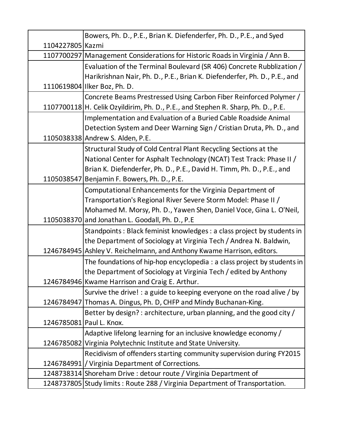|                  | Bowers, Ph. D., P.E., Brian K. Diefenderfer, Ph. D., P.E., and Syed              |
|------------------|----------------------------------------------------------------------------------|
| 1104227805 Kazmi |                                                                                  |
|                  | 1107700297 Management Considerations for Historic Roads in Virginia / Ann B.     |
|                  | Evaluation of the Terminal Boulevard (SR 406) Concrete Rubblization /            |
|                  | Harikrishnan Nair, Ph. D., P.E., Brian K. Diefenderfer, Ph. D., P.E., and        |
|                  | 1110619804 Ilker Boz, Ph. D.                                                     |
|                  | Concrete Beams Prestressed Using Carbon Fiber Reinforced Polymer /               |
|                  | 1107700118 H. Celik Ozyildirim, Ph. D., P.E., and Stephen R. Sharp, Ph. D., P.E. |
|                  | Implementation and Evaluation of a Buried Cable Roadside Animal                  |
|                  | Detection System and Deer Warning Sign / Cristian Druta, Ph. D., and             |
|                  | 1105038338 Andrew S. Alden, P.E.                                                 |
|                  | Structural Study of Cold Central Plant Recycling Sections at the                 |
|                  | National Center for Asphalt Technology (NCAT) Test Track: Phase II /             |
|                  | Brian K. Diefenderfer, Ph. D., P.E., David H. Timm, Ph. D., P.E., and            |
|                  | 1105038547 Benjamin F. Bowers, Ph. D., P.E.                                      |
|                  | Computational Enhancements for the Virginia Department of                        |
|                  | Transportation's Regional River Severe Storm Model: Phase II /                   |
|                  | Mohamed M. Morsy, Ph. D., Yawen Shen, Daniel Voce, Gina L. O'Neil,               |
|                  | 1105038370 and Jonathan L. Goodall, Ph. D., P.E                                  |
|                  | Standpoints: Black feminist knowledges: a class project by students in           |
|                  | the Department of Sociology at Virginia Tech / Andrea N. Baldwin,                |
|                  | 1246784945 Ashley V. Reichelmann, and Anthony Kwame Harrison, editors.           |
|                  | The foundations of hip-hop encyclopedia : a class project by students in         |
|                  | the Department of Sociology at Virginia Tech / edited by Anthony                 |
|                  | 1246784946 Kwame Harrison and Craig E. Arthur.                                   |
|                  | Survive the drive! : a guide to keeping everyone on the road alive / by          |
|                  | 1246784947 Thomas A. Dingus, Ph. D, CHFP and Mindy Buchanan-King.                |
|                  | Better by design? : architecture, urban planning, and the good city /            |
|                  | 1246785081 Paul L. Knox.                                                         |
|                  | Adaptive lifelong learning for an inclusive knowledge economy /                  |
|                  | 1246785082 Virginia Polytechnic Institute and State University.                  |
|                  | Recidivism of offenders starting community supervision during FY2015             |
|                  | 1246784991   / Virginia Department of Corrections.                               |
|                  | 1248738314 Shoreham Drive : detour route / Virginia Department of                |
|                  | 1248737805 Study limits: Route 288 / Virginia Department of Transportation.      |